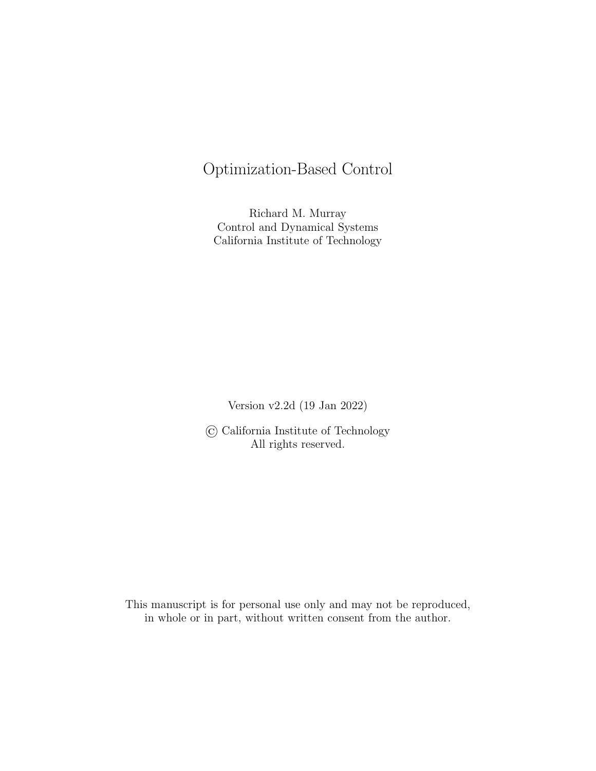# <span id="page-0-1"></span><span id="page-0-0"></span>Optimization-Based Control

<span id="page-0-11"></span><span id="page-0-6"></span>Richard M. Murray Control and Dynamical Systems California Institute of Technology

Version v2.2d (19 Jan 2022)

<span id="page-0-7"></span><span id="page-0-4"></span>© California Institute of Technology All rights reserved.

<span id="page-0-12"></span><span id="page-0-10"></span><span id="page-0-9"></span><span id="page-0-8"></span><span id="page-0-5"></span><span id="page-0-3"></span><span id="page-0-2"></span>This manuscript is for personal use only and may not be reproduced, in whole or in part, without written consent from the author.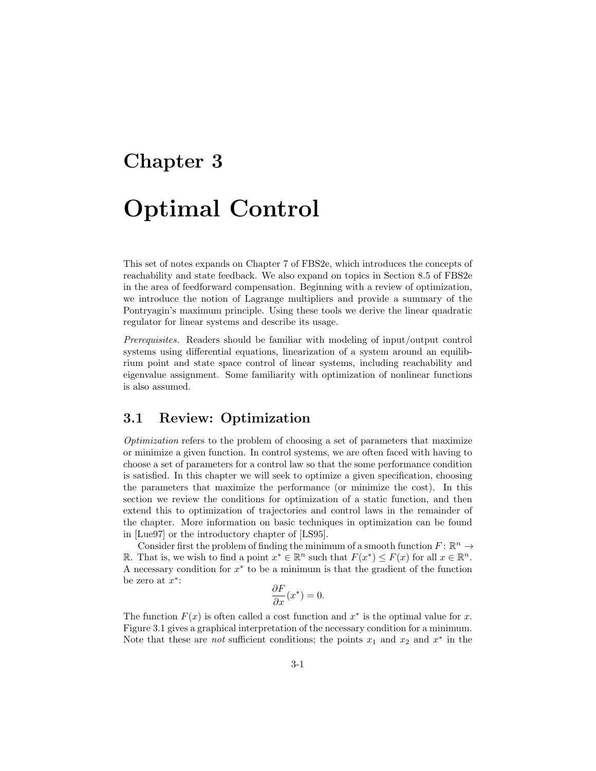# Chapter 3 Optimal Control

This set of notes expands on Chapter [7](#page-0-0) of FBS2e, which introduces the concepts of reachability and state feedback. We also expand on topics in Section [8.5](#page-0-1) of FBS2e in the area of feedforward compensation. Beginning with a review of optimization, we introduce the notion of Lagrange multipliers and provide a summary of the Pontryagin's maximum principle. Using these tools we derive the linear quadratic regulator for linear systems and describe its usage.

*Prerequisites.* Readers should be familiar with modeling of input/output control systems using differential equations, linearization of a system around an equilibrium point and state space control of linear systems, including reachability and eigenvalue assignment. Some familiarity with optimization of nonlinear functions is also assumed.

## 3.1 Review: Optimization

*Optimization* refers to the problem of choosing a set of parameters that maximize or minimize a given function. In control systems, we are often faced with having to choose a set of parameters for a control law so that the some performance condition is satisfied. In this chapter we will seek to optimize a given specification, choosing the parameters that maximize the performance (or minimize the cost). In this section we review the conditions for optimization of a static function, and then extend this to optimization of trajectories and control laws in the remainder of the chapter. More information on basic techniques in optimization can be found in [\[Lue97\]](#page-0-2) or the introductory chapter of [\[LS95\]](#page-0-3).

Consider first the problem of finding the minimum of a smooth function  $F: \mathbb{R}^n \to$ R. That is, we wish to find a point  $x^* \in \mathbb{R}^n$  such that  $F(x^*) \leq F(x)$  for all  $x \in \mathbb{R}^n$ . A necessary condition for  $x^*$  to be a minimum is that the gradient of the function be zero at  $x^*$ :

$$
\frac{\partial F}{\partial x}(x^*) = 0.
$$

The function  $F(x)$  is often called a cost function and  $x^*$  is the optimal value for x. Figure [3.1](#page-2-0) gives a graphical interpretation of the necessary condition for a minimum. Note that these are *not* sufficient conditions; the points  $x_1$  and  $x_2$  and  $x^*$  in the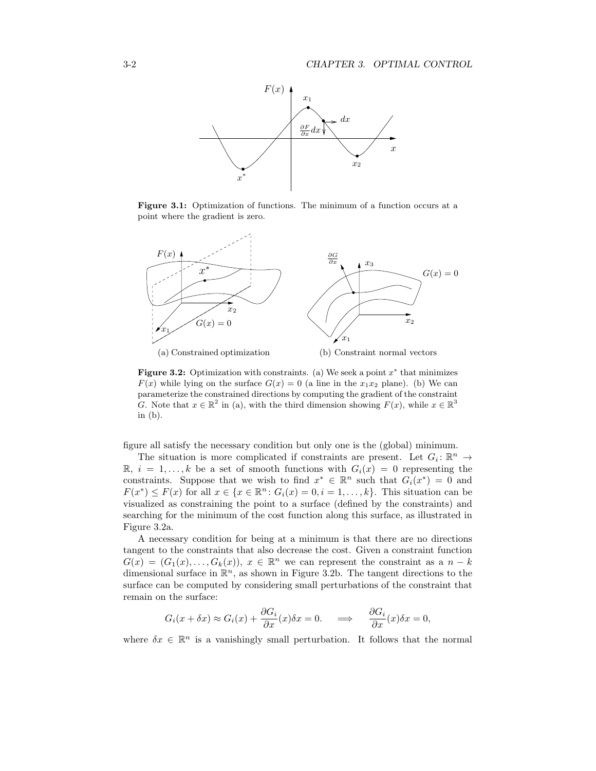<span id="page-2-0"></span>

Figure 3.1: Optimization of functions. The minimum of a function occurs at a point where the gradient is zero.

<span id="page-2-1"></span>

<span id="page-2-2"></span>**Figure 3.2:** Optimization with constraints. (a) We seek a point  $x^*$  that minimizes  $F(x)$  while lying on the surface  $G(x) = 0$  (a line in the  $x_1x_2$  plane). (b) We can parameterize the constrained directions by computing the gradient of the constraint *G*. Note that  $x \in \mathbb{R}^2$  in (a), with the third dimension showing  $F(x)$ , while  $x \in \mathbb{R}^3$ in (b).

figure all satisfy the necessary condition but only one is the (global) minimum.

The situation is more complicated if constraints are present. Let  $G_i: \mathbb{R}^n \to$  $\mathbb{R}, i = 1, \ldots, k$  be a set of smooth functions with  $G_i(x) = 0$  representing the constraints. Suppose that we wish to find  $x^* \in \mathbb{R}^n$  such that  $G_i(x^*) = 0$  and  $F(x^*) \leq F(x)$  for all  $x \in \{x \in \mathbb{R}^n : G_i(x) = 0, i = 1, \ldots, k\}$ . This situation can be visualized as constraining the point to a surface (defined by the constraints) and searching for the minimum of the cost function along this surface, as illustrated in Figure [3.2a.](#page-2-1)

A necessary condition for being at a minimum is that there are no directions tangent to the constraints that also decrease the cost. Given a constraint function  $G(x)=(G_1(x),...,G_k(x)), x \in \mathbb{R}^n$  we can represent the constraint as a  $n-k$ dimensional surface in  $\mathbb{R}^n$ , as shown in Figure [3.2b.](#page-2-2) The tangent directions to the surface can be computed by considering small perturbations of the constraint that remain on the surface:

$$
G_i(x + \delta x) \approx G_i(x) + \frac{\partial G_i}{\partial x}(x)\delta x = 0. \quad \Longrightarrow \quad \frac{\partial G_i}{\partial x}(x)\delta x = 0,
$$

where  $\delta x \in \mathbb{R}^n$  is a vanishingly small perturbation. It follows that the normal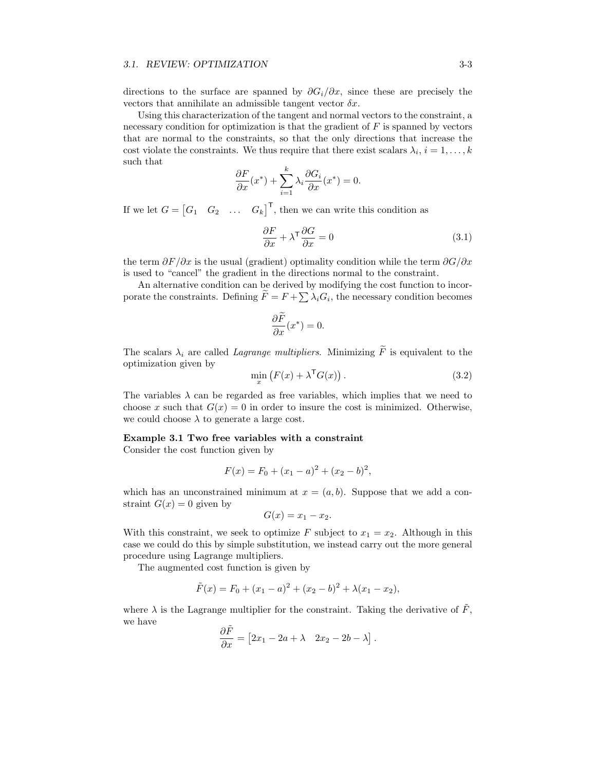#### *3.1. REVIEW: OPTIMIZATION* 3-3

directions to the surface are spanned by  $\partial G_i/\partial x$ , since these are precisely the vectors that annihilate an admissible tangent vector  $\delta x$ .

Using this characterization of the tangent and normal vectors to the constraint, a necessary condition for optimization is that the gradient of *F* is spanned by vectors that are normal to the constraints, so that the only directions that increase the cost violate the constraints. We thus require that there exist scalars  $\lambda_i$ ,  $i = 1, \ldots, k$ such that

$$
\frac{\partial F}{\partial x}(x^*) + \sum_{i=1}^k \lambda_i \frac{\partial G_i}{\partial x}(x^*) = 0.
$$

If we let  $G = \begin{bmatrix} G_1 & G_2 & \dots & G_k \end{bmatrix}^T$ , then we can write this condition as

$$
\frac{\partial F}{\partial x} + \lambda^{\mathsf{T}} \frac{\partial G}{\partial x} = 0 \tag{3.1}
$$

the term  $\partial F/\partial x$  is the usual (gradient) optimality condition while the term  $\partial G/\partial x$ is used to "cancel" the gradient in the directions normal to the constraint.

An alternative condition can be derived by modifying the cost function to incorporate the constraints. Defining  $\ddot{F} = F + \sum_{i} \lambda_i G_i$ , the necessary condition becomes

$$
\frac{\partial \widetilde{F}}{\partial x}(x^*) = 0.
$$

The scalars  $\lambda_i$  are called *Lagrange multipliers*. Minimizing  $\widetilde{F}$  is equivalent to the optimization given by

$$
\min_{x} \left( F(x) + \lambda^{\mathsf{T}} G(x) \right). \tag{3.2}
$$

The variables  $\lambda$  can be regarded as free variables, which implies that we need to choose x such that  $G(x) = 0$  in order to insure the cost is minimized. Otherwise, we could choose  $\lambda$  to generate a large cost.

#### Example 3.1 Two free variables with a constraint

Consider the cost function given by

$$
F(x) = F_0 + (x_1 - a)^2 + (x_2 - b)^2,
$$

which has an unconstrained minimum at  $x = (a, b)$ . Suppose that we add a constraint  $G(x) = 0$  given by

$$
G(x) = x_1 - x_2.
$$

With this constraint, we seek to optimize *F* subject to  $x_1 = x_2$ . Although in this case we could do this by simple substitution, we instead carry out the more general procedure using Lagrange multipliers.

The augmented cost function is given by

$$
\tilde{F}(x) = F_0 + (x_1 - a)^2 + (x_2 - b)^2 + \lambda(x_1 - x_2),
$$

where  $\lambda$  is the Lagrange multiplier for the constraint. Taking the derivative of  $\tilde{F}$ , we have

$$
\frac{\partial \tilde{F}}{\partial x} = [2x_1 - 2a + \lambda \quad 2x_2 - 2b - \lambda].
$$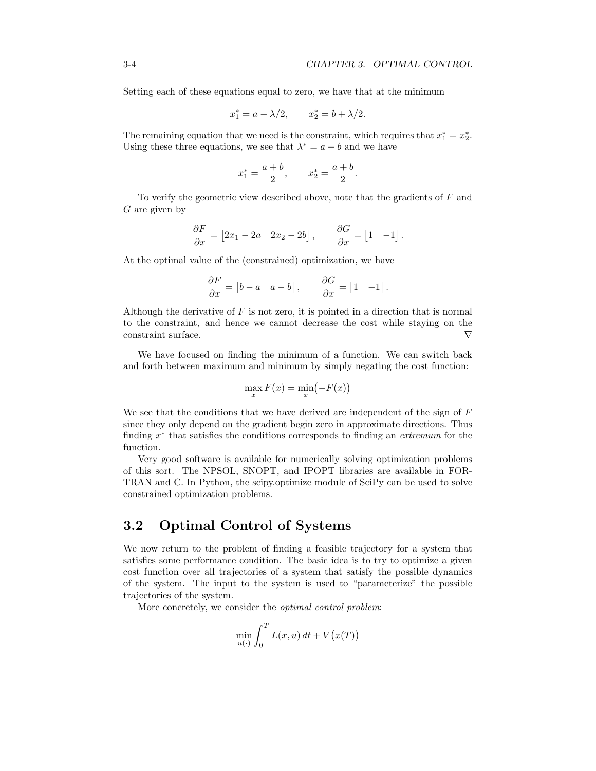Setting each of these equations equal to zero, we have that at the minimum

$$
x_1^* = a - \lambda/2
$$
,  $x_2^* = b + \lambda/2$ .

The remaining equation that we need is the constraint, which requires that  $x_1^* = x_2^*$ . Using these three equations, we see that  $\lambda^* = a - b$  and we have

$$
x_1^* = \frac{a+b}{2}
$$
,  $x_2^* = \frac{a+b}{2}$ .

To verify the geometric view described above, note that the gradients of *F* and *G* are given by

$$
\frac{\partial F}{\partial x} = \begin{bmatrix} 2x_1 - 2a & 2x_2 - 2b \end{bmatrix}, \qquad \frac{\partial G}{\partial x} = \begin{bmatrix} 1 & -1 \end{bmatrix}.
$$

At the optimal value of the (constrained) optimization, we have

$$
\frac{\partial F}{\partial x} = \begin{bmatrix} b - a & a - b \end{bmatrix}, \qquad \frac{\partial G}{\partial x} = \begin{bmatrix} 1 & -1 \end{bmatrix}.
$$

Although the derivative of *F* is not zero, it is pointed in a direction that is normal to the constraint, and hence we cannot decrease the cost while staying on the constraint surface.  $\nabla$ 

We have focused on finding the minimum of a function. We can switch back and forth between maximum and minimum by simply negating the cost function:

$$
\max_x F(x) = \min_x (-F(x))
$$

We see that the conditions that we have derived are independent of the sign of *F* since they only depend on the gradient begin zero in approximate directions. Thus finding  $x^*$  that satisfies the conditions corresponds to finding an *extremum* for the function.

Very good software is available for numerically solving optimization problems of this sort. The NPSOL, SNOPT, and IPOPT libraries are available in FOR-TRAN and C. In Python, the scipy.optimize module of SciPy can be used to solve constrained optimization problems.

## 3.2 Optimal Control of Systems

We now return to the problem of finding a feasible trajectory for a system that satisfies some performance condition. The basic idea is to try to optimize a given cost function over all trajectories of a system that satisfy the possible dynamics of the system. The input to the system is used to "parameterize" the possible trajectories of the system.

More concretely, we consider the *optimal control problem*:

$$
\min_{u(\cdot)} \int_0^T L(x, u) dt + V(x(T))
$$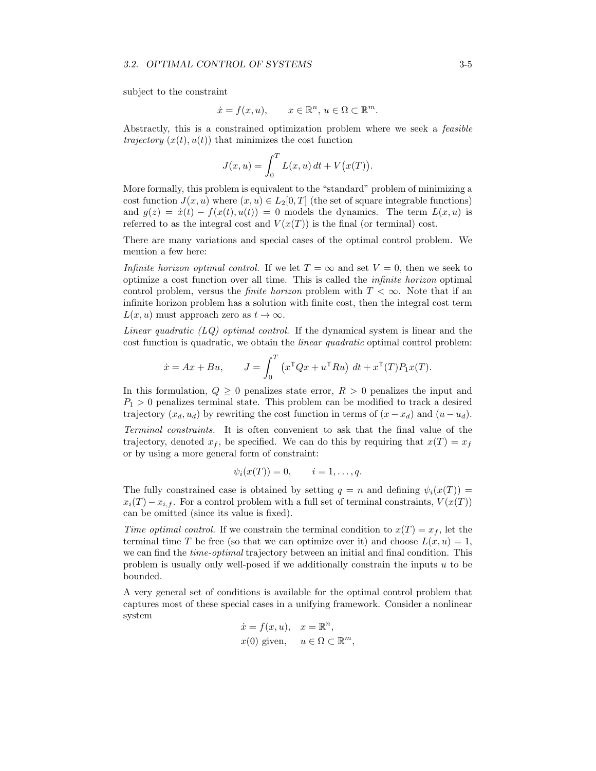subject to the constraint

$$
\dot{x} = f(x, u), \qquad x \in \mathbb{R}^n, u \in \Omega \subset \mathbb{R}^m.
$$

Abstractly, this is a constrained optimization problem where we seek a *feasible trajectory*  $(x(t), u(t))$  that minimizes the cost function

$$
J(x, u) = \int_0^T L(x, u) dt + V(x(T)).
$$

More formally, this problem is equivalent to the "standard" problem of minimizing a cost function  $J(x, u)$  where  $(x, u) \in L_2[0, T]$  (the set of square integrable functions) and  $g(z) = \dot{x}(t) - f(x(t), u(t)) = 0$  models the dynamics. The term  $L(x, u)$  is referred to as the integral cost and  $V(x(T))$  is the final (or terminal) cost.

There are many variations and special cases of the optimal control problem. We mention a few here:

*Infinite horizon optimal control.* If we let  $T = \infty$  and set  $V = 0$ , then we seek to optimize a cost function over all time. This is called the *infinite horizon* optimal control problem, versus the *finite horizon* problem with  $T < \infty$ . Note that if an infinite horizon problem has a solution with finite cost, then the integral cost term  $L(x, u)$  must approach zero as  $t \to \infty$ .

*Linear quadratic (LQ) optimal control.* If the dynamical system is linear and the cost function is quadratic, we obtain the *linear quadratic* optimal control problem:

$$
\dot{x} = Ax + Bu, \qquad J = \int_0^T \left( x^{\mathsf{T}} Q x + u^{\mathsf{T}} Ru \right) dt + x^{\mathsf{T}} (T) P_1 x(T).
$$

In this formulation,  $Q \geq 0$  penalizes state error,  $R > 0$  penalizes the input and  $P_1 > 0$  penalizes terminal state. This problem can be modified to track a desired trajectory  $(x_d, u_d)$  by rewriting the cost function in terms of  $(x - x_d)$  and  $(u - u_d)$ .

*Terminal constraints.* It is often convenient to ask that the final value of the trajectory, denoted  $x_f$ , be specified. We can do this by requiring that  $x(T) = x_f$ or by using a more general form of constraint:

$$
\psi_i(x(T)) = 0, \qquad i = 1, \ldots, q.
$$

The fully constrained case is obtained by setting  $q = n$  and defining  $\psi_i(x(T)) =$  $x_i(T) - x_{i,f}$ . For a control problem with a full set of terminal constraints,  $V(x(T))$ can be omitted (since its value is fixed).

*Time optimal control.* If we constrain the terminal condition to  $x(T) = x_f$ , let the terminal time *T* be free (so that we can optimize over it) and choose  $L(x, u) = 1$ , we can find the *time-optimal* trajectory between an initial and final condition. This problem is usually only well-posed if we additionally constrain the inputs *u* to be bounded.

A very general set of conditions is available for the optimal control problem that captures most of these special cases in a unifying framework. Consider a nonlinear system

$$
\dot{x} = f(x, u), \quad x = \mathbb{R}^n,
$$
  

$$
x(0) \text{ given}, \quad u \in \Omega \subset \mathbb{R}^m
$$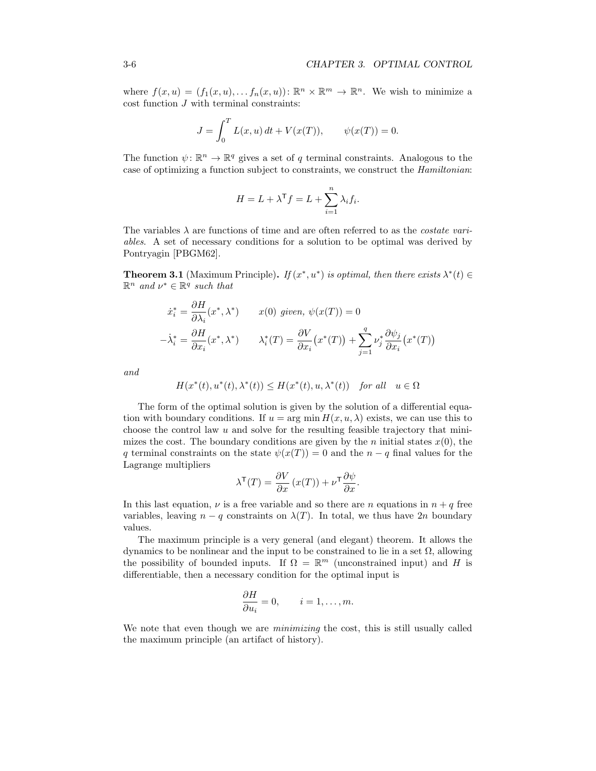where  $f(x, u) = (f_1(x, u), \ldots, f_n(x, u))$ :  $\mathbb{R}^n \times \mathbb{R}^m \to \mathbb{R}^n$ . We wish to minimize a cost function *J* with terminal constraints:

$$
J = \int_0^T L(x, u) dt + V(x(T)), \qquad \psi(x(T)) = 0.
$$

The function  $\psi: \mathbb{R}^n \to \mathbb{R}^q$  gives a set of *q* terminal constraints. Analogous to the case of optimizing a function subject to constraints, we construct the *Hamiltonian*:

$$
H = L + \lambda^{\mathsf{T}} f = L + \sum_{i=1}^{n} \lambda_i f_i.
$$

The variables  $\lambda$  are functions of time and are often referred to as the *costate variables*. A set of necessary conditions for a solution to be optimal was derived by Pontryagin [\[PBGM62\]](#page-0-4).

<span id="page-6-0"></span>**Theorem 3.1** (Maximum Principle). *If*  $(x^*, u^*)$  *is optimal, then there exists*  $\lambda^*(t) \in$  $\mathbb{R}^n$  *and*  $\nu^* \in \mathbb{R}^q$  *such that* 

$$
\dot{x}_i^* = \frac{\partial H}{\partial \lambda_i}(x^*, \lambda^*) \qquad x(0) \text{ given, } \psi(x(T)) = 0
$$

$$
-\dot{\lambda}_i^* = \frac{\partial H}{\partial x_i}(x^*, \lambda^*) \qquad \lambda_i^*(T) = \frac{\partial V}{\partial x_i}(x^*(T)) + \sum_{j=1}^q \nu_j^* \frac{\partial \psi_j}{\partial x_i}(x^*(T))
$$

*and*

$$
H(x^*(t),u^*(t),\lambda^*(t))\leq H(x^*(t),u,\lambda^*(t))\quad \textit{for all}\quad u\in \Omega
$$

The form of the optimal solution is given by the solution of a differential equation with boundary conditions. If  $u = \arg \min H(x, u, \lambda)$  exists, we can use this to choose the control law *u* and solve for the resulting feasible trajectory that minimizes the cost. The boundary conditions are given by the *n* initial states  $x(0)$ , the *q* terminal constraints on the state  $\psi(x(T)) = 0$  and the *n* - *q* final values for the Lagrange multipliers

$$
\lambda^{\mathsf{T}}(T) = \frac{\partial V}{\partial x} \left( x(T) \right) + \nu^{\mathsf{T}} \frac{\partial \psi}{\partial x}.
$$

In this last equation,  $\nu$  is a free variable and so there are *n* equations in  $n + q$  free variables, leaving  $n - q$  constraints on  $\lambda(T)$ . In total, we thus have 2*n* boundary values.

The maximum principle is a very general (and elegant) theorem. It allows the dynamics to be nonlinear and the input to be constrained to lie in a set  $\Omega$ , allowing the possibility of bounded inputs. If  $\Omega = \mathbb{R}^m$  (unconstrained input) and *H* is differentiable, then a necessary condition for the optimal input is

$$
\frac{\partial H}{\partial u_i} = 0, \qquad i = 1, \dots, m.
$$

We note that even though we are *minimizing* the cost, this is still usually called the maximum principle (an artifact of history).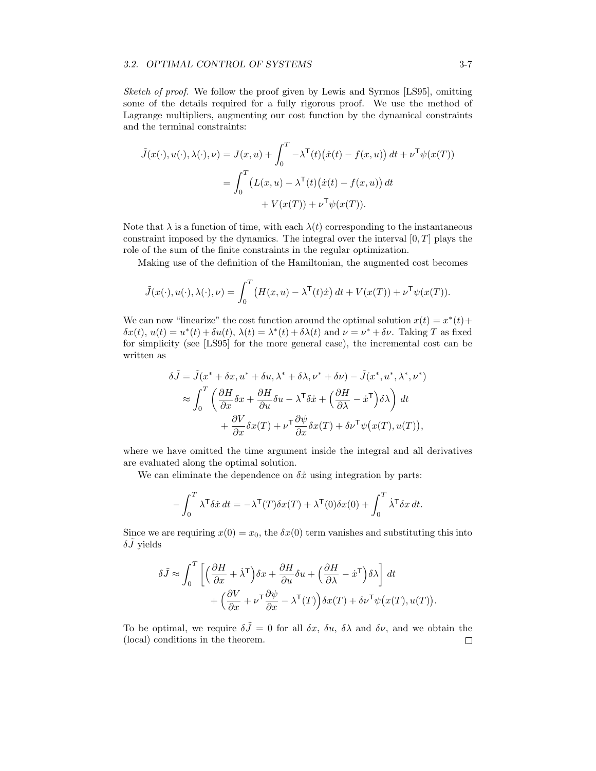#### *3.2. OPTIMAL CONTROL OF SYSTEMS* 3-7

*Sketch of proof.* We follow the proof given by Lewis and Syrmos [\[LS95\]](#page-0-3), omitting some of the details required for a fully rigorous proof. We use the method of Lagrange multipliers, augmenting our cost function by the dynamical constraints and the terminal constraints:

$$
\tilde{J}(x(\cdot), u(\cdot), \lambda(\cdot), \nu) = J(x, u) + \int_0^T -\lambda^{\mathsf{T}}(t) (\dot{x}(t) - f(x, u)) dt + \nu^{\mathsf{T}} \psi(x(T))
$$

$$
= \int_0^T \left( L(x, u) - \lambda^{\mathsf{T}}(t) (\dot{x}(t) - f(x, u)) dt + V(x(T)) + \nu^{\mathsf{T}} \psi(x(T)).
$$

Note that  $\lambda$  is a function of time, with each  $\lambda(t)$  corresponding to the instantaneous constraint imposed by the dynamics. The integral over the interval [0*, T*] plays the role of the sum of the finite constraints in the regular optimization.

Making use of the definition of the Hamiltonian, the augmented cost becomes

$$
\tilde{J}(x(\cdot), u(\cdot), \lambda(\cdot), \nu) = \int_0^T \left( H(x, u) - \lambda^{\mathsf{T}}(t) \dot{x} \right) dt + V(x(T)) + \nu^{\mathsf{T}} \psi(x(T)).
$$

We can now "linearize" the cost function around the optimal solution  $x(t) = x^*(t) +$  $\delta x(t)$ ,  $u(t) = u^*(t) + \delta u(t)$ ,  $\lambda(t) = \lambda^*(t) + \delta \lambda(t)$  and  $\nu = \nu^* + \delta \nu$ . Taking *T* as fixed for simplicity (see [\[LS95\]](#page-0-3) for the more general case), the incremental cost can be written as

$$
\delta\tilde{J} = \tilde{J}(x^* + \delta x, u^* + \delta u, \lambda^* + \delta \lambda, \nu^* + \delta \nu) - \tilde{J}(x^*, u^*, \lambda^*, \nu^*)
$$
  
\n
$$
\approx \int_0^T \left( \frac{\partial H}{\partial x} \delta x + \frac{\partial H}{\partial u} \delta u - \lambda^{\mathsf{T}} \delta \dot{x} + \left( \frac{\partial H}{\partial \lambda} - \dot{x}^{\mathsf{T}} \right) \delta \lambda \right) dt
$$
  
\n
$$
+ \frac{\partial V}{\partial x} \delta x(T) + \nu^{\mathsf{T}} \frac{\partial \psi}{\partial x} \delta x(T) + \delta \nu^{\mathsf{T}} \psi(x(T), u(T)),
$$

where we have omitted the time argument inside the integral and all derivatives are evaluated along the optimal solution.

We can eliminate the dependence on  $\delta \dot{x}$  using integration by parts:

$$
- \int_0^T \lambda^{\mathsf{T}} \delta \dot{x} dt = -\lambda^{\mathsf{T}}(T) \delta x(T) + \lambda^{\mathsf{T}}(0) \delta x(0) + \int_0^T \dot{\lambda}^{\mathsf{T}} \delta x dt.
$$

Since we are requiring  $x(0) = x_0$ , the  $\delta x(0)$  term vanishes and substituting this into  $\delta \vec{J}$  yields

$$
\delta \tilde{J} \approx \int_0^T \left[ \left( \frac{\partial H}{\partial x} + \dot{\lambda}^\mathsf{T} \right) \delta x + \frac{\partial H}{\partial u} \delta u + \left( \frac{\partial H}{\partial \lambda} - \dot{x}^\mathsf{T} \right) \delta \lambda \right] dt + \left( \frac{\partial V}{\partial x} + \nu^\mathsf{T} \frac{\partial \psi}{\partial x} - \lambda^\mathsf{T} (T) \right) \delta x(T) + \delta \nu^\mathsf{T} \psi \big( x(T), u(T) \big).
$$

To be optimal, we require  $\delta \tilde{J} = 0$  for all  $\delta x$ ,  $\delta u$ ,  $\delta \lambda$  and  $\delta \nu$ , and we obtain the (local) conditions in the theorem. $\Box$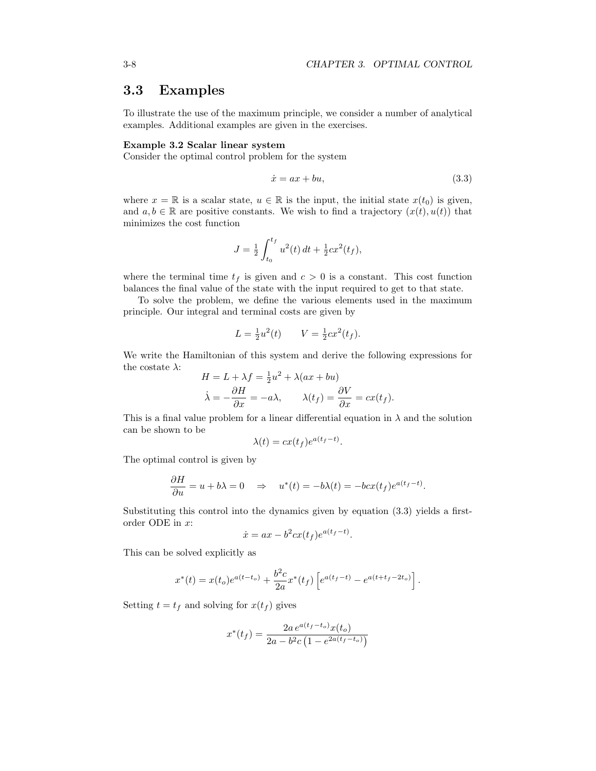## 3.3 Examples

To illustrate the use of the maximum principle, we consider a number of analytical examples. Additional examples are given in the exercises.

#### <span id="page-8-1"></span>Example 3.2 Scalar linear system

Consider the optimal control problem for the system

<span id="page-8-0"></span>
$$
\dot{x} = ax + bu,\tag{3.3}
$$

where  $x = \mathbb{R}$  is a scalar state,  $u \in \mathbb{R}$  is the input, the initial state  $x(t_0)$  is given, and  $a, b \in \mathbb{R}$  are positive constants. We wish to find a trajectory  $(x(t), u(t))$  that minimizes the cost function

$$
J = \frac{1}{2} \int_{t_0}^{t_f} u^2(t) dt + \frac{1}{2} c x^2(t_f),
$$

where the terminal time  $t_f$  is given and  $c > 0$  is a constant. This cost function balances the final value of the state with the input required to get to that state.

To solve the problem, we define the various elements used in the maximum principle. Our integral and terminal costs are given by

$$
L = \frac{1}{2}u^2(t) \qquad V = \frac{1}{2}cx^2(t_f).
$$

We write the Hamiltonian of this system and derive the following expressions for the costate  $\lambda$ :

$$
H = L + \lambda f = \frac{1}{2}u^2 + \lambda(ax + bu)
$$

$$
\dot{\lambda} = -\frac{\partial H}{\partial x} = -a\lambda, \qquad \lambda(t_f) = \frac{\partial V}{\partial x} = cx(t_f).
$$

This is a final value problem for a linear differential equation in  $\lambda$  and the solution can be shown to be

$$
\lambda(t) = cx(t_f)e^{a(t_f - t)}.
$$

The optimal control is given by

$$
\frac{\partial H}{\partial u} = u + b\lambda = 0 \quad \Rightarrow \quad u^*(t) = -b\lambda(t) = -bcx(t_f)e^{a(t_f - t)}.
$$

Substituting this control into the dynamics given by equation [\(3.3\)](#page-8-0) yields a firstorder ODE in *x*:

$$
\dot{x} = ax - b^2 c x(t_f) e^{a(t_f - t)}.
$$

This can be solved explicitly as

$$
x^{*}(t) = x(t_o)e^{a(t-t_o)} + \frac{b^2c}{2a}x^{*}(t_f)\left[e^{a(t_f-t)} - e^{a(t+t_f-2t_o)}\right].
$$

Setting  $t = t_f$  and solving for  $x(t_f)$  gives

$$
x^*(t_f) = \frac{2a e^{a(t_f - t_o)} x(t_o)}{2a - b^2 c \left(1 - e^{2a(t_f - t_o)}\right)}
$$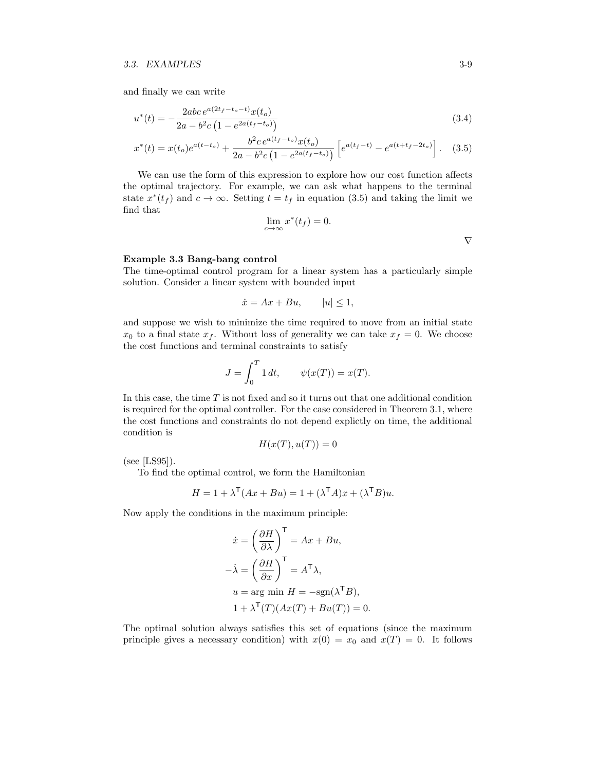and finally we can write

$$
u^*(t) = -\frac{2abc \, e^{a(2t_f - t_o - t)} x(t_o)}{2a - b^2 c \left(1 - e^{2a(t_f - t_o)}\right)}\tag{3.4}
$$

$$
x^*(t) = x(t_o)e^{a(t-t_o)} + \frac{b^2ce^{a(t_f-t_o)}x(t_o)}{2a - b^2c\left(1 - e^{2a(t_f-t_o)}\right)} \left[e^{a(t_f-t)} - e^{a(t+t_f-2t_o)}\right].
$$
 (3.5)

We can use the form of this expression to explore how our cost function affects the optimal trajectory. For example, we can ask what happens to the terminal state  $x^*(t_f)$  and  $c \to \infty$ . Setting  $t = t_f$  in equation [\(3.5\)](#page-9-0) and taking the limit we find that

$$
\lim_{c \to \infty} x^*(t_f) = 0.
$$

#### Example 3.3 Bang-bang control

The time-optimal control program for a linear system has a particularly simple solution. Consider a linear system with bounded input

$$
\dot{x} = Ax + Bu, \qquad |u| \le 1,
$$

and suppose we wish to minimize the time required to move from an initial state  $x_0$  to a final state  $x_f$ . Without loss of generality we can take  $x_f = 0$ . We choose the cost functions and terminal constraints to satisfy

$$
J = \int_0^T 1 \, dt, \qquad \psi(x(T)) = x(T).
$$

In this case, the time *T* is not fixed and so it turns out that one additional condition is required for the optimal controller. For the case considered in Theorem [3.1,](#page-6-0) where the cost functions and constraints do not depend explictly on time, the additional condition is

$$
H(x(T), u(T)) = 0
$$

(see [\[LS95\]](#page-0-3)).

To find the optimal control, we form the Hamiltonian

$$
H = 1 + \lambda^{\mathsf{T}}(Ax + Bu) = 1 + (\lambda^{\mathsf{T}}A)x + (\lambda^{\mathsf{T}}B)u.
$$

Now apply the conditions in the maximum principle:

$$
\dot{x} = \left(\frac{\partial H}{\partial \lambda}\right)^{\mathsf{T}} = Ax + Bu,
$$
  

$$
-\dot{\lambda} = \left(\frac{\partial H}{\partial x}\right)^{\mathsf{T}} = A^{\mathsf{T}}\lambda,
$$
  

$$
u = \arg\min H = -\text{sgn}(\lambda^{\mathsf{T}}B),
$$
  

$$
1 + \lambda^{\mathsf{T}}(T)(Ax(T) + Bu(T)) = 0.
$$

The optimal solution always satisfies this set of equations (since the maximum principle gives a necessary condition) with  $x(0) = x_0$  and  $x(T) = 0$ . It follows

<span id="page-9-0"></span>r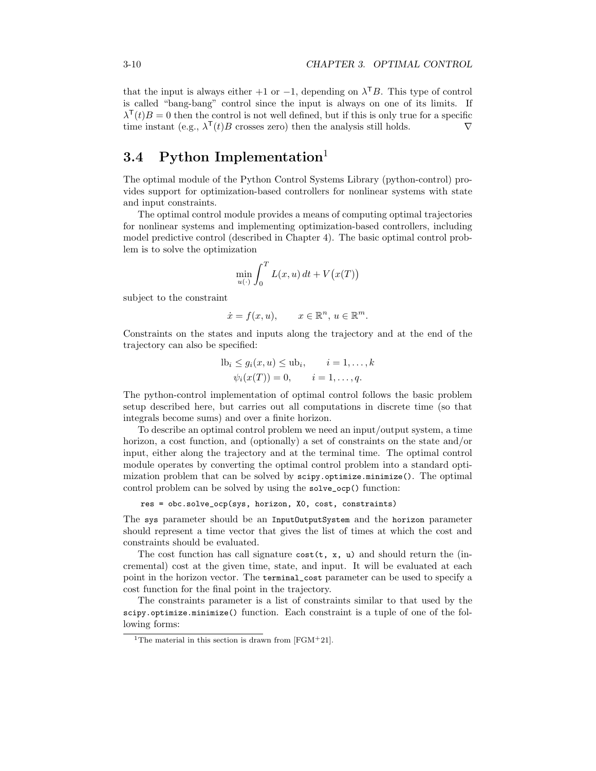that the input is always either  $+1$  or  $-1$ , depending on  $\lambda^{T}B$ . This type of control is called "bang-bang" control since the input is always on one of its limits. If  $\lambda^{\mathsf{T}}(t)B=0$  then the control is not well defined, but if this is only true for a specific time instant (e.g.,  $\lambda^{T}(t)B$  crosses zero) then the analysis still holds.  $\nabla$ 

## 3.4 Python Implementation<sup>[1](#page-10-0)</sup>

The optimal module of the Python Control Systems Library (python-control) provides support for optimization-based controllers for nonlinear systems with state and input constraints.

The optimal control module provides a means of computing optimal trajectories for nonlinear systems and implementing optimization-based controllers, including model predictive control (described in Chapter [4\)](#page-0-0). The basic optimal control problem is to solve the optimization

$$
\min_{u(\cdot)} \int_0^T L(x, u) dt + V(x(T))
$$

subject to the constraint

$$
\dot{x} = f(x, u), \qquad x \in \mathbb{R}^n, u \in \mathbb{R}^m.
$$

Constraints on the states and inputs along the trajectory and at the end of the trajectory can also be specified:

$$
1b_i \le g_i(x, u) \le ub_i, \qquad i = 1, \dots, k
$$
  

$$
\psi_i(x(T)) = 0, \qquad i = 1, \dots, q.
$$

The python-control implementation of optimal control follows the basic problem setup described here, but carries out all computations in discrete time (so that integrals become sums) and over a finite horizon.

To describe an optimal control problem we need an input/output system, a time horizon, a cost function, and (optionally) a set of constraints on the state and/or input, either along the trajectory and at the terminal time. The optimal control module operates by converting the optimal control problem into a standard optimization problem that can be solved by scipy.optimize.minimize(). The optimal control problem can be solved by using the solve\_ocp() function:

res = obc.solve\_ocp(sys, horizon, X0, cost, constraints)

The sys parameter should be an InputOutputSystem and the horizon parameter should represent a time vector that gives the list of times at which the cost and constraints should be evaluated.

The cost function has call signature  $cost(t, x, u)$  and should return the (incremental) cost at the given time, state, and input. It will be evaluated at each point in the horizon vector. The terminal\_cost parameter can be used to specify a cost function for the final point in the trajectory.

The constraints parameter is a list of constraints similar to that used by the scipy.optimize.minimize() function. Each constraint is a tuple of one of the following forms:

<span id="page-10-0"></span><sup>&</sup>lt;sup>1</sup>The material in this section is drawn from [\[FGM](#page-0-5)<sup>+</sup>21].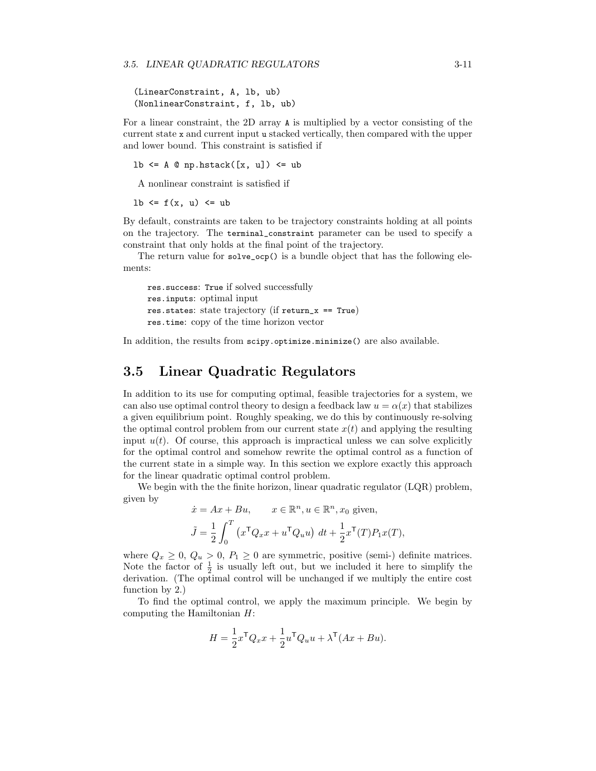```
(LinearConstraint, A, lb, ub)
(NonlinearConstraint, f, lb, ub)
```
For a linear constraint, the 2D array A is multiplied by a vector consisting of the current state x and current input u stacked vertically, then compared with the upper and lower bound. This constraint is satisfied if

lb  $\leq$  A  $\circ$  np.hstack([x, u])  $\leq$  ub

A nonlinear constraint is satisfied if

lb  $\leq f(x, u) \leq uh$ 

By default, constraints are taken to be trajectory constraints holding at all points on the trajectory. The terminal\_constraint parameter can be used to specify a constraint that only holds at the final point of the trajectory.

The return value for solve\_ocp() is a bundle object that has the following elements:

```
res.success: True if solved successfully
res.inputs: optimal input
res.states: state trajectory (if return_x == True)
res.time: copy of the time horizon vector
```
In addition, the results from scipy.optimize.minimize() are also available.

## 3.5 Linear Quadratic Regulators

In addition to its use for computing optimal, feasible trajectories for a system, we can also use optimal control theory to design a feedback law  $u = \alpha(x)$  that stabilizes a given equilibrium point. Roughly speaking, we do this by continuously re-solving the optimal control problem from our current state  $x(t)$  and applying the resulting input  $u(t)$ . Of course, this approach is impractical unless we can solve explicitly for the optimal control and somehow rewrite the optimal control as a function of the current state in a simple way. In this section we explore exactly this approach for the linear quadratic optimal control problem.

We begin with the the finite horizon, linear quadratic regulator (LQR) problem, given by

$$
\dot{x} = Ax + Bu, \qquad x \in \mathbb{R}^n, u \in \mathbb{R}^n, x_0 \text{ given},
$$

$$
\tilde{J} = \frac{1}{2} \int_0^T \left( x^{\mathsf{T}} Q_x x + u^{\mathsf{T}} Q_u u \right) dt + \frac{1}{2} x^{\mathsf{T}}(T) P_1 x(T),
$$

where  $Q_x \geq 0$ ,  $Q_u > 0$ ,  $P_1 \geq 0$  are symmetric, positive (semi-) definite matrices. Note the factor of  $\frac{1}{2}$  is usually left out, but we included it here to simplify the derivation. (The optimal control will be unchanged if we multiply the entire cost function by 2.)

To find the optimal control, we apply the maximum principle. We begin by computing the Hamiltonian *H*:

$$
H = \frac{1}{2}x^{\mathsf{T}}Q_x x + \frac{1}{2}u^{\mathsf{T}}Q_u u + \lambda^{\mathsf{T}}(Ax + Bu).
$$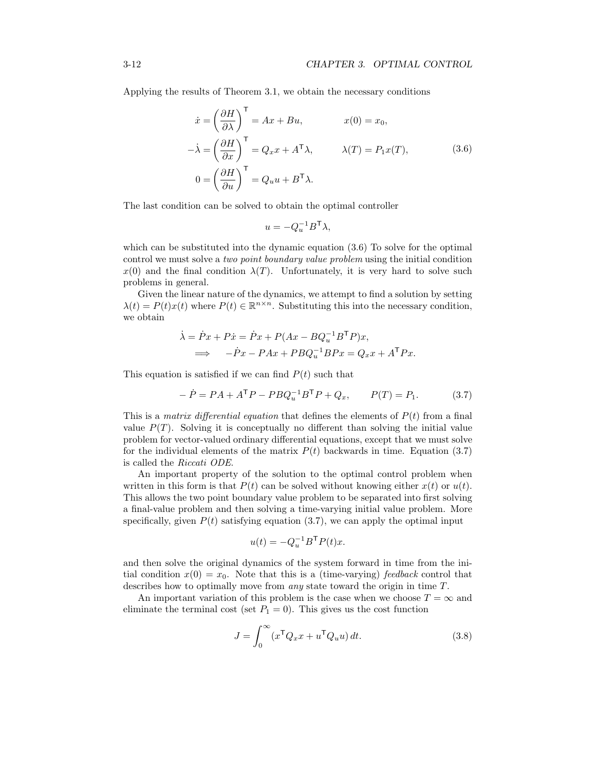Applying the results of Theorem [3.1,](#page-6-0) we obtain the necessary conditions

<span id="page-12-0"></span>
$$
\begin{aligned}\n\dot{x} &= \left(\frac{\partial H}{\partial \lambda}\right)^{\mathsf{T}} = Ax + Bu, & x(0) &= x_0, \\
-\dot{\lambda} &= \left(\frac{\partial H}{\partial x}\right)^{\mathsf{T}} = Q_x x + A^{\mathsf{T}} \lambda, & \lambda(T) &= P_1 x(T), \\
0 &= \left(\frac{\partial H}{\partial u}\right)^{\mathsf{T}} = Q_u u + B^{\mathsf{T}} \lambda.\n\end{aligned}
$$
\n(3.6)

The last condition can be solved to obtain the optimal controller

$$
u = -Q_u^{-1}B^{\mathsf{T}}\lambda,
$$

which can be substituted into the dynamic equation  $(3.6)$  To solve for the optimal control we must solve a *two point boundary value problem* using the initial condition  $x(0)$  and the final condition  $\lambda(T)$ . Unfortunately, it is very hard to solve such problems in general.

Given the linear nature of the dynamics, we attempt to find a solution by setting  $\lambda(t) = P(t)x(t)$  where  $P(t) \in \mathbb{R}^{n \times n}$ . Substituting this into the necessary condition, we obtain

$$
\dot{\lambda} = \dot{P}x + P\dot{x} = \dot{P}x + P(Ax - BQ_u^{-1}B^{\mathsf{T}}P)x,
$$
  

$$
\implies -\dot{P}x - PAx + PBQ_u^{-1}BPx = Q_x x + A^{\mathsf{T}}Px.
$$

This equation is satisfied if we can find  $P(t)$  such that

<span id="page-12-1"></span>
$$
- \dot{P} = PA + A^{\mathsf{T}}P - PBQ_{u}^{-1}B^{\mathsf{T}}P + Q_{x}, \qquad P(T) = P_{1}.
$$
 (3.7)

This is a *matrix differential equation* that defines the elements of  $P(t)$  from a final value  $P(T)$ . Solving it is conceptually no different than solving the initial value problem for vector-valued ordinary differential equations, except that we must solve for the individual elements of the matrix  $P(t)$  backwards in time. Equation [\(3.7\)](#page-12-1) is called the *Riccati ODE*.

An important property of the solution to the optimal control problem when written in this form is that  $P(t)$  can be solved without knowing either  $x(t)$  or  $u(t)$ . This allows the two point boundary value problem to be separated into first solving a final-value problem and then solving a time-varying initial value problem. More specifically, given  $P(t)$  satisfying equation  $(3.7)$ , we can apply the optimal input

$$
u(t) = -Q_u^{-1}B^{\mathsf{T}}P(t)x.
$$

and then solve the original dynamics of the system forward in time from the initial condition  $x(0) = x_0$ . Note that this is a (time-varying) *feedback* control that describes how to optimally move from *any* state toward the origin in time *T*.

An important variation of this problem is the case when we choose  $T = \infty$  and eliminate the terminal cost (set  $P_1 = 0$ ). This gives us the cost function

<span id="page-12-2"></span>
$$
J = \int_0^\infty (x^\mathsf{T} Q_x x + u^\mathsf{T} Q_u u) dt.
$$
 (3.8)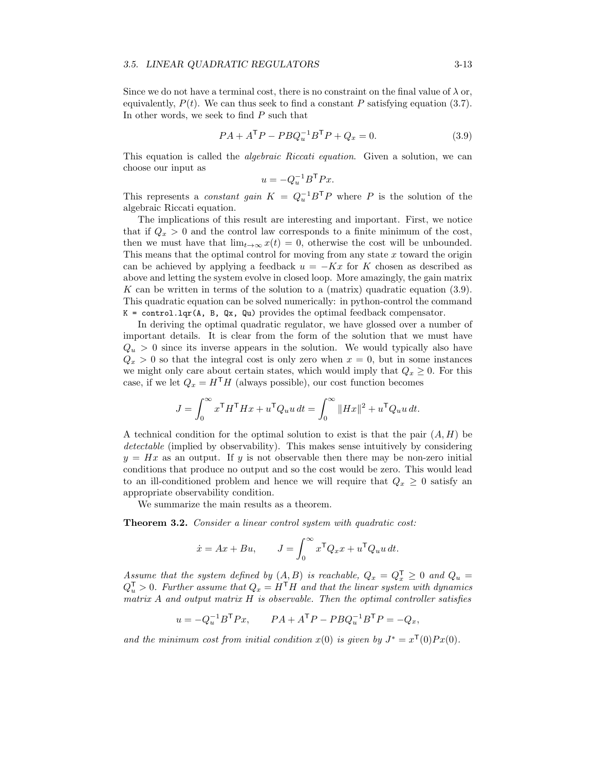#### *3.5. LINEAR QUADRATIC REGULATORS* 3-13

Since we do not have a terminal cost, there is no constraint on the final value of  $\lambda$  or, equivalently,  $P(t)$ . We can thus seek to find a constant  $P$  satisfying equation [\(3.7\)](#page-12-1). In other words, we seek to find *P* such that

<span id="page-13-0"></span>
$$
PA + ATP - PBQu-1BTP + Qx = 0.
$$
 (3.9)

This equation is called the *algebraic Riccati equation*. Given a solution, we can choose our input as

$$
u = -Q_u^{-1}B^{\mathsf{T}}Px.
$$

This represents a *constant gain*  $K = Q_u^{-1}B^{\mathsf{T}}P$  where P is the solution of the algebraic Riccati equation.

The implications of this result are interesting and important. First, we notice that if  $Q_x > 0$  and the control law corresponds to a finite minimum of the cost, then we must have that  $\lim_{t\to\infty} x(t) = 0$ , otherwise the cost will be unbounded. This means that the optimal control for moving from any state *x* toward the origin can be achieved by applying a feedback  $u = -Kx$  for K chosen as described as above and letting the system evolve in closed loop. More amazingly, the gain matrix *K* can be written in terms of the solution to a (matrix) quadratic equation [\(3.9\)](#page-13-0). This quadratic equation can be solved numerically: in python-control the command  $K = \text{control.lqr}(A, B, Qx, Qu)$  provides the optimal feedback compensator.

In deriving the optimal quadratic regulator, we have glossed over a number of important details. It is clear from the form of the solution that we must have  $Q_u > 0$  since its inverse appears in the solution. We would typically also have  $Q_x > 0$  so that the integral cost is only zero when  $x = 0$ , but in some instances we might only care about certain states, which would imply that  $Q_x \geq 0$ . For this case, if we let  $Q_x = H^{\mathsf{T}}H$  (always possible), our cost function becomes

$$
J = \int_0^\infty x^\mathsf{T} H^\mathsf{T} H x + u^\mathsf{T} Q_u u \, dt = \int_0^\infty ||Hx||^2 + u^\mathsf{T} Q_u u \, dt.
$$

A technical condition for the optimal solution to exist is that the pair (*A, H*) be *detectable* (implied by observability). This makes sense intuitively by considering  $y = Hx$  as an output. If *y* is not observable then there may be non-zero initial conditions that produce no output and so the cost would be zero. This would lead to an ill-conditioned problem and hence we will require that  $Q_x \geq 0$  satisfy an appropriate observability condition.

We summarize the main results as a theorem.

Theorem 3.2. *Consider a linear control system with quadratic cost:*

$$
\dot{x} = Ax + Bu, \qquad J = \int_0^\infty x^\mathsf{T} Q_x x + u^\mathsf{T} Q_u u \, dt.
$$

*Assume that the system defined by*  $(A, B)$  *is reachable,*  $Q_x = Q_x^T \geq 0$  *and*  $Q_u =$  $Q_u^{\mathsf{T}} > 0$ . Further assume that  $Q_x = H^{\mathsf{T}}H$  and that the linear system with dynamics *matrix A and output matrix H is observable. Then the optimal controller satisfies*

$$
u = -Q_u^{-1}B^{\mathsf{T}}Px, \qquad PA + A^{\mathsf{T}}P - PBQ_u^{-1}B^{\mathsf{T}}P = -Q_x,
$$

and the minimum cost from initial condition  $x(0)$  is given by  $J^* = x^{\mathsf{T}}(0)Px(0)$ .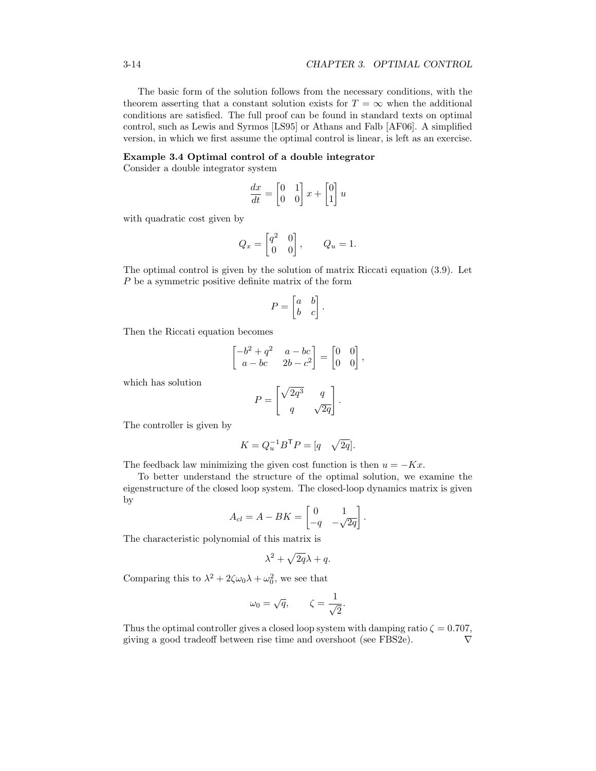The basic form of the solution follows from the necessary conditions, with the theorem asserting that a constant solution exists for  $T = \infty$  when the additional conditions are satisfied. The full proof can be found in standard texts on optimal control, such as Lewis and Syrmos [\[LS95\]](#page-0-3) or Athans and Falb [\[AF06\]](#page-0-6). A simplified version, in which we first assume the optimal control is linear, is left as an exercise.

#### Example 3.4 Optimal control of a double integrator

Consider a double integrator system

$$
\frac{dx}{dt} = \begin{bmatrix} 0 & 1 \\ 0 & 0 \end{bmatrix} x + \begin{bmatrix} 0 \\ 1 \end{bmatrix} u
$$

with quadratic cost given by

$$
Q_x = \begin{bmatrix} q^2 & 0 \\ 0 & 0 \end{bmatrix}, \qquad Q_u = 1.
$$

The optimal control is given by the solution of matrix Riccati equation [\(3.9\)](#page-13-0). Let *P* be a symmetric positive definite matrix of the form

$$
P = \begin{bmatrix} a & b \\ b & c \end{bmatrix}.
$$

Then the Riccati equation becomes

$$
\begin{bmatrix} -b^2 + q^2 & a - bc \ a - bc & 2b - c^2 \end{bmatrix} = \begin{bmatrix} 0 & 0 \ 0 & 0 \end{bmatrix},
$$

which has solution

$$
P = \begin{bmatrix} \sqrt{2q^3} & q \\ q & \sqrt{2q} \end{bmatrix}.
$$

The controller is given by

$$
K = Q_u^{-1} B^{\mathsf{T}} P = [q \quad \sqrt{2q}].
$$

The feedback law minimizing the given cost function is then  $u = -Kx$ .

To better understand the structure of the optimal solution, we examine the eigenstructure of the closed loop system. The closed-loop dynamics matrix is given by

$$
A_{cl} = A - BK = \begin{bmatrix} 0 & 1 \\ -q & -\sqrt{2q} \end{bmatrix}.
$$

The characteristic polynomial of this matrix is

$$
\lambda^2 + \sqrt{2q}\lambda + q.
$$

Comparing this to  $\lambda^2 + 2\zeta\omega_0\lambda + \omega_0^2$ , we see that

$$
\omega_0 = \sqrt{q}, \qquad \zeta = \frac{1}{\sqrt{2}}.
$$

Thus the optimal controller gives a closed loop system with damping ratio  $\zeta = 0.707$ , giving a good tradeoff between rise time and overshoot (see FBS2e).

$$
\nabla
$$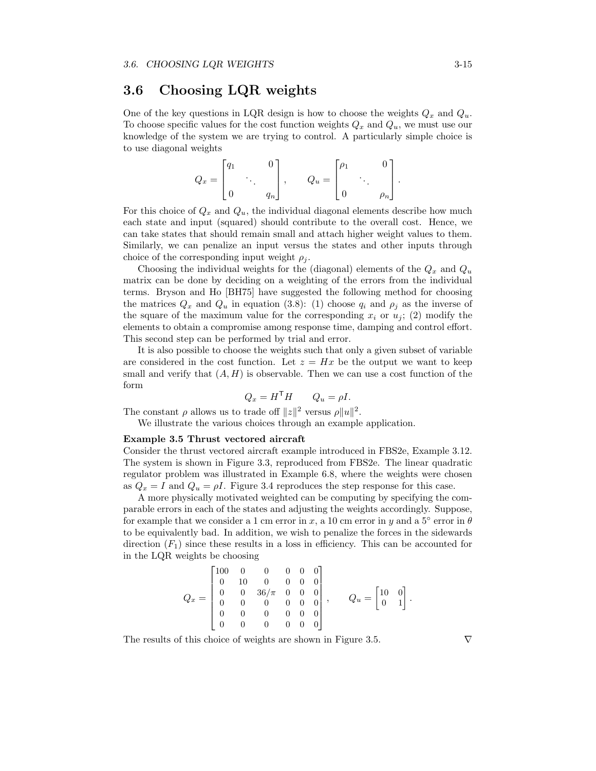## 3.6 Choosing LQR weights

One of the key questions in LQR design is how to choose the weights  $Q_x$  and  $Q_u$ . To choose specific values for the cost function weights *Q<sup>x</sup>* and *Qu*, we must use our knowledge of the system we are trying to control. A particularly simple choice is to use diagonal weights

$$
Q_x = \begin{bmatrix} q_1 & 0 \\ & \ddots & \\ 0 & q_n \end{bmatrix}, \qquad Q_u = \begin{bmatrix} \rho_1 & 0 \\ & \ddots & \\ 0 & \rho_n \end{bmatrix}.
$$

For this choice of  $Q_x$  and  $Q_u$ , the individual diagonal elements describe how much each state and input (squared) should contribute to the overall cost. Hence, we can take states that should remain small and attach higher weight values to them. Similarly, we can penalize an input versus the states and other inputs through choice of the corresponding input weight  $\rho_i$ .

Choosing the individual weights for the (diagonal) elements of the *Q<sup>x</sup>* and *Q<sup>u</sup>* matrix can be done by deciding on a weighting of the errors from the individual terms. Bryson and Ho [\[BH75\]](#page-0-7) have suggested the following method for choosing the matrices  $Q_x$  and  $Q_y$  in equation [\(3.8\)](#page-12-2): (1) choose  $q_i$  and  $p_j$  as the inverse of the square of the maximum value for the corresponding  $x_i$  or  $u_j$ ; (2) modify the elements to obtain a compromise among response time, damping and control effort. This second step can be performed by trial and error.

It is also possible to choose the weights such that only a given subset of variable are considered in the cost function. Let  $z = Hx$  be the output we want to keep small and verify that  $(A, H)$  is observable. Then we can use a cost function of the form

$$
Q_x = H^{\mathsf{T}} H \qquad Q_u = \rho I.
$$

The constant  $\rho$  allows us to trade off  $||z||^2$  versus  $\rho||u||^2$ .

We illustrate the various choices through an example application.

#### <span id="page-15-0"></span>Example 3.5 Thrust vectored aircraft

Consider the thrust vectored aircraft example introduced in FBS2e, Example [3.12.](#page-0-1) The system is shown in Figure [3.3,](#page-16-0) reproduced from FBS2e. The linear quadratic regulator problem was illustrated in Example 6.8, where the weights were chosen as  $Q_x = I$  and  $Q_u = \rho I$ . Figure [3.4](#page-17-0) reproduces the step response for this case.

A more physically motivated weighted can be computing by specifying the comparable errors in each of the states and adjusting the weights accordingly. Suppose, for example that we consider a 1 cm error in *x*, a 10 cm error in *y* and a  $5^{\circ}$  error in  $\theta$ to be equivalently bad. In addition, we wish to penalize the forces in the sidewards direction  $(F_1)$  since these results in a loss in efficiency. This can be accounted for in the LQR weights be choosing

$$
Q_x = \begin{bmatrix} 100 & 0 & 0 & 0 & 0 & 0 \\ 0 & 10 & 0 & 0 & 0 & 0 \\ 0 & 0 & 36/\pi & 0 & 0 & 0 \\ 0 & 0 & 0 & 0 & 0 & 0 \\ 0 & 0 & 0 & 0 & 0 & 0 \\ 0 & 0 & 0 & 0 & 0 & 0 \end{bmatrix}, \qquad Q_u = \begin{bmatrix} 10 & 0 \\ 0 & 1 \end{bmatrix}.
$$

The results of this choice of weights are shown in Figure [3.5.](#page-17-1)  $\nabla$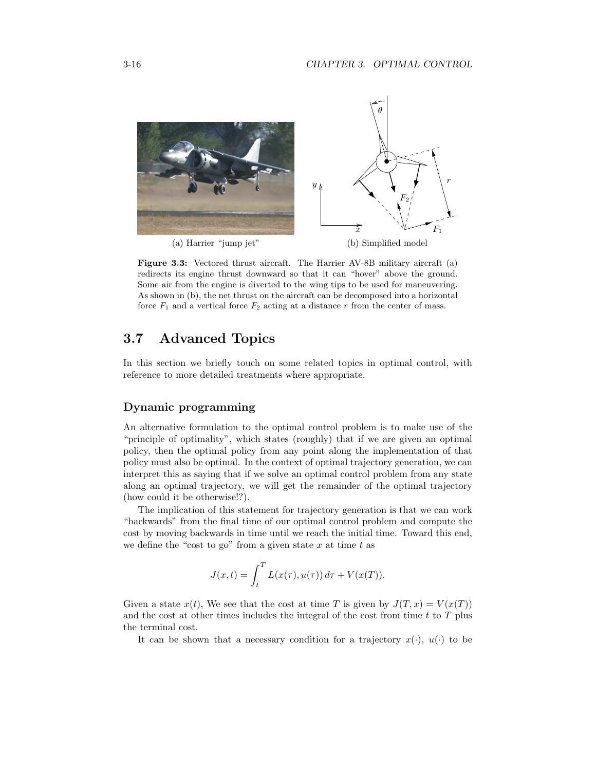<span id="page-16-0"></span>

Figure 3.3: Vectored thrust aircraft. The Harrier AV-8B military aircraft (a) redirects its engine thrust downward so that it can "hover" above the ground. Some air from the engine is diverted to the wing tips to be used for maneuvering. As shown in (b), the net thrust on the aircraft can be decomposed into a horizontal force  $F_1$  and a vertical force  $F_2$  acting at a distance  $r$  from the center of mass.

## 3.7 Advanced Topics

In this section we briefly touch on some related topics in optimal control, with reference to more detailed treatments where appropriate.

#### Dynamic programming

An alternative formulation to the optimal control problem is to make use of the "principle of optimality", which states (roughly) that if we are given an optimal policy, then the optimal policy from any point along the implementation of that policy must also be optimal. In the context of optimal trajectory generation, we can interpret this as saying that if we solve an optimal control problem from any state along an optimal trajectory, we will get the remainder of the optimal trajectory (how could it be otherwise!?).

The implication of this statement for trajectory generation is that we can work "backwards" from the final time of our optimal control problem and compute the cost by moving backwards in time until we reach the initial time. Toward this end, we define the "cost to go" from a given state *x* at time *t* as

$$
J(x,t) = \int_t^T L(x(\tau), u(\tau)) d\tau + V(x(T)).
$$

Given a state  $x(t)$ , We see that the cost at time *T* is given by  $J(T, x) = V(x(T))$ and the cost at other times includes the integral of the cost from time *t* to *T* plus the terminal cost.

It can be shown that a necessary condition for a trajectory  $x(\cdot)$ ,  $u(\cdot)$  to be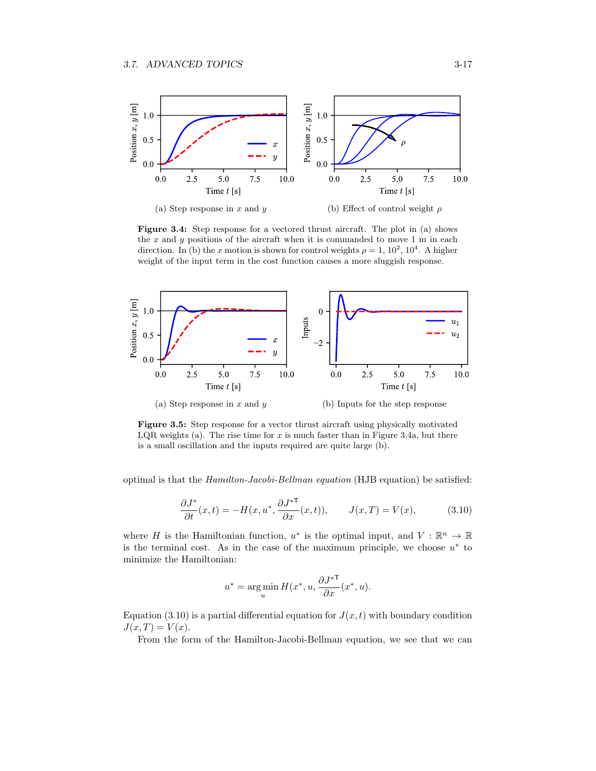<span id="page-17-2"></span><span id="page-17-0"></span>

Figure 3.4: Step response for a vectored thrust aircraft. The plot in (a) shows the *x* and *y* positions of the aircraft when it is commanded to move 1 m in each direction. In (b) the *x* motion is shown for control weights  $\rho = 1, 10^2, 10^4$ . A higher weight of the input term in the cost function causes a more sluggish response.

<span id="page-17-1"></span>

Figure 3.5: Step response for a vector thrust aircraft using physically motivated LQR weights (a). The rise time for  $x$  is much faster than in Figure [3.4a,](#page-17-2) but there is a small oscillation and the inputs required are quite large (b).

optimal is that the *Hamilton-Jacobi-Bellman equation* (HJB equation) be satisfied:

<span id="page-17-3"></span>
$$
\frac{\partial J^*}{\partial t}(x,t) = -H(x, u^*, \frac{\partial J^{*\mathsf{T}}}{\partial x}(x,t)), \qquad J(x,T) = V(x), \tag{3.10}
$$

where *H* is the Hamiltonian function,  $u^*$  is the optimal input, and  $V : \mathbb{R}^n \to \mathbb{R}$ is the terminal cost. As in the case of the maximum principle, we choose  $u^*$  to minimize the Hamiltonian:

$$
u^* = \operatorname*{arg\,min}_u H(x^*, u, \frac{\partial J^{*\mathsf{T}}}{\partial x}(x^*, u).
$$

Equation [\(3.10\)](#page-17-3) is a partial differential equation for  $J(x, t)$  with boundary condition  $J(x,T) = V(x)$ .

From the form of the Hamilton-Jacobi-Bellman equation, we see that we can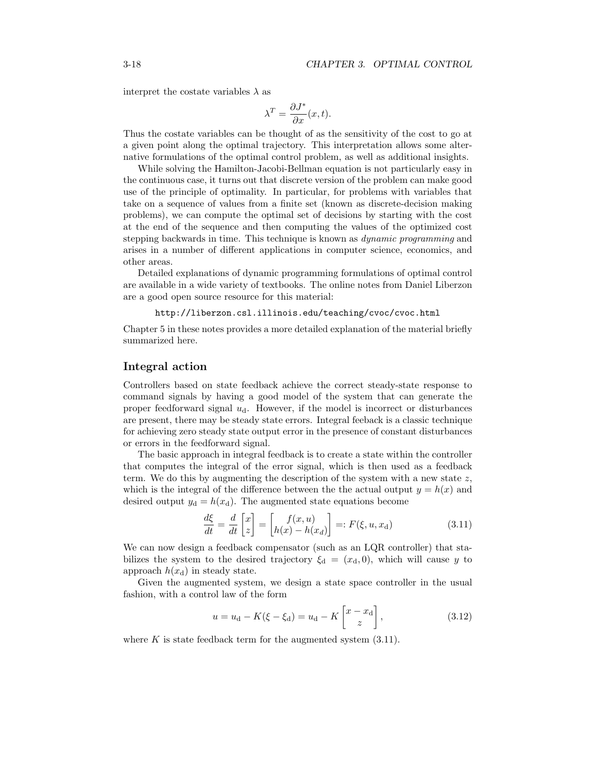interpret the costate variables  $\lambda$  as

$$
\lambda^T = \frac{\partial J^*}{\partial x}(x, t).
$$

Thus the costate variables can be thought of as the sensitivity of the cost to go at a given point along the optimal trajectory. This interpretation allows some alternative formulations of the optimal control problem, as well as additional insights.

While solving the Hamilton-Jacobi-Bellman equation is not particularly easy in the continuous case, it turns out that discrete version of the problem can make good use of the principle of optimality. In particular, for problems with variables that take on a sequence of values from a finite set (known as discrete-decision making problems), we can compute the optimal set of decisions by starting with the cost at the end of the sequence and then computing the values of the optimized cost stepping backwards in time. This technique is known as *dynamic programming* and arises in a number of different applications in computer science, economics, and other areas.

Detailed explanations of dynamic programming formulations of optimal control are available in a wide variety of textbooks. The online notes from Daniel Liberzon are a good open source resource for this material:

#### <http://liberzon.csl.illinois.edu/teaching/cvoc/cvoc.html>

Chapter 5 in these notes provides a more detailed explanation of the material briefly summarized here.

#### Integral action

Controllers based on state feedback achieve the correct steady-state response to command signals by having a good model of the system that can generate the proper feedforward signal *u*d. However, if the model is incorrect or disturbances are present, there may be steady state errors. Integral feeback is a classic technique for achieving zero steady state output error in the presence of constant disturbances or errors in the feedforward signal.

The basic approach in integral feedback is to create a state within the controller that computes the integral of the error signal, which is then used as a feedback term. We do this by augmenting the description of the system with a new state *z*, which is the integral of the difference between the the actual output  $y = h(x)$  and desired output  $y_d = h(x_d)$ . The augmented state equations become

<span id="page-18-0"></span>
$$
\frac{d\xi}{dt} = \frac{d}{dt} \begin{bmatrix} x \\ z \end{bmatrix} = \begin{bmatrix} f(x, u) \\ h(x) - h(x_d) \end{bmatrix} =: F(\xi, u, x_d) \tag{3.11}
$$

We can now design a feedback compensator (such as an LQR controller) that stabilizes the system to the desired trajectory  $\xi_d = (x_d, 0)$ , which will cause *y* to approach  $h(x_d)$  in steady state.

Given the augmented system, we design a state space controller in the usual fashion, with a control law of the form

$$
u = u_{d} - K(\xi - \xi_{d}) = u_{d} - K\begin{bmatrix} x - x_{d} \\ z \end{bmatrix},
$$
\n(3.12)

where  $K$  is state feedback term for the augmented system  $(3.11)$ .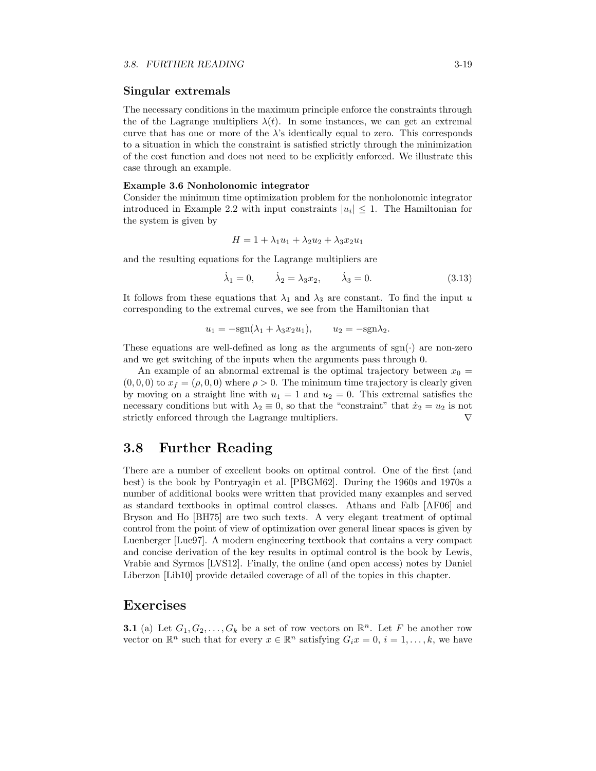#### Singular extremals

The necessary conditions in the maximum principle enforce the constraints through the of the Lagrange multipliers  $\lambda(t)$ . In some instances, we can get an extremal curve that has one or more of the  $\lambda$ 's identically equal to zero. This corresponds to a situation in which the constraint is satisfied strictly through the minimization of the cost function and does not need to be explicitly enforced. We illustrate this case through an example.

#### Example 3.6 Nonholonomic integrator

Consider the minimum time optimization problem for the nonholonomic integrator introduced in Example [2.2](#page-0-8) with input constraints  $|u_i| \leq 1$ . The Hamiltonian for the system is given by

$$
H = 1 + \lambda_1 u_1 + \lambda_2 u_2 + \lambda_3 x_2 u_1
$$

and the resulting equations for the Lagrange multipliers are

$$
\dot{\lambda}_1 = 0, \qquad \dot{\lambda}_2 = \lambda_3 x_2, \qquad \dot{\lambda}_3 = 0. \tag{3.13}
$$

It follows from these equations that  $\lambda_1$  and  $\lambda_3$  are constant. To find the input *u* corresponding to the extremal curves, we see from the Hamiltonian that

$$
u_1 = -\text{sgn}(\lambda_1 + \lambda_3 x_2 u_1), \qquad u_2 = -\text{sgn}\lambda_2.
$$

These equations are well-defined as long as the arguments of  $sgn(\cdot)$  are non-zero and we get switching of the inputs when the arguments pass through 0.

An example of an abnormal extremal is the optimal trajectory between  $x_0 =$  $(0,0,0)$  to  $x_f = (\rho,0,0)$  where  $\rho > 0$ . The minimum time trajectory is clearly given by moving on a straight line with  $u_1 = 1$  and  $u_2 = 0$ . This extremal satisfies the necessary conditions but with  $\lambda_2 \equiv 0$ , so that the "constraint" that  $\dot{x}_2 = u_2$  is not strictly enforced through the Lagrange multipliers. strictly enforced through the Lagrange multipliers.

## 3.8 Further Reading

There are a number of excellent books on optimal control. One of the first (and best) is the book by Pontryagin et al. [\[PBGM62\]](#page-0-4). During the 1960s and 1970s a number of additional books were written that provided many examples and served as standard textbooks in optimal control classes. Athans and Falb [\[AF06\]](#page-0-6) and Bryson and Ho [\[BH75\]](#page-0-7) are two such texts. A very elegant treatment of optimal control from the point of view of optimization over general linear spaces is given by Luenberger [\[Lue97\]](#page-0-2). A modern engineering textbook that contains a very compact and concise derivation of the key results in optimal control is the book by Lewis, Vrabie and Syrmos [\[LVS12\]](#page-0-9). Finally, the online (and open access) notes by Daniel Liberzon [\[Lib10\]](#page-0-10) provide detailed coverage of all of the topics in this chapter.

## Exercises

**3.1** (a) Let  $G_1, G_2, \ldots, G_k$  be a set of row vectors on  $\mathbb{R}^n$ . Let F be another row vector on  $\mathbb{R}^n$  such that for every  $x \in \mathbb{R}^n$  satisfying  $G_i x = 0, i = 1, \ldots, k$ , we have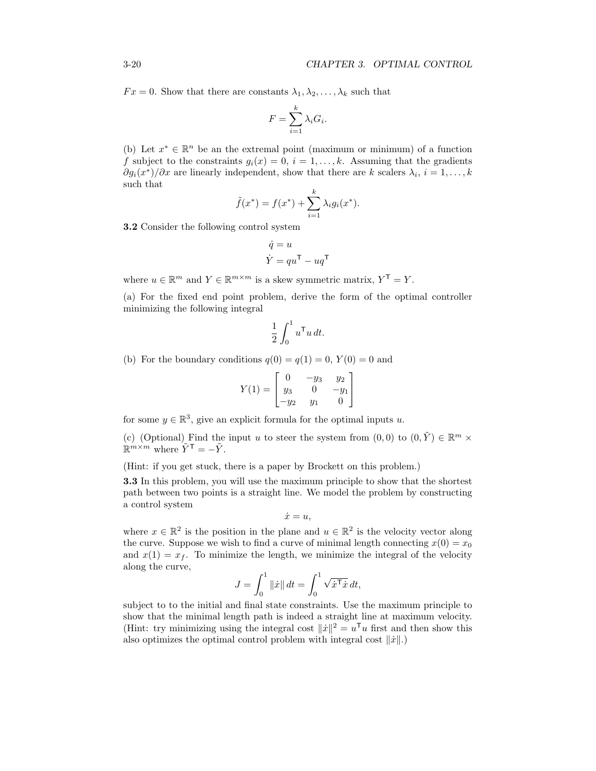$Fx = 0$ . Show that there are constants  $\lambda_1, \lambda_2, \ldots, \lambda_k$  such that

$$
F = \sum_{i=1}^{k} \lambda_i G_i.
$$

(b) Let  $x^* \in \mathbb{R}^n$  be an the extremal point (maximum or minimum) of a function *f* subject to the constraints  $g_i(x) = 0$ ,  $i = 1, ..., k$ . Assuming that the gradients  $\partial g_i(x^*)/\partial x$  are linearly independent, show that there are *k* scalers  $\lambda_i$ ,  $i = 1, \ldots, k$ such that

$$
\tilde{f}(x^*) = f(x^*) + \sum_{i=1}^k \lambda_i g_i(x^*).
$$

3.2 Consider the following control system

$$
\dot{q} = u
$$

$$
\dot{Y} = qu^{\mathsf{T}} - uq^{\mathsf{T}}
$$

where  $u \in \mathbb{R}^m$  and  $Y \in \mathbb{R}^{m \times m}$  is a skew symmetric matrix,  $Y^{\mathsf{T}} = Y$ .

(a) For the fixed end point problem, derive the form of the optimal controller minimizing the following integral

$$
\frac{1}{2} \int_0^1 u^{\mathsf{T}} u \, dt.
$$

(b) For the boundary conditions  $q(0) = q(1) = 0$ ,  $Y(0) = 0$  and

$$
Y(1) = \begin{bmatrix} 0 & -y_3 & y_2 \\ y_3 & 0 & -y_1 \\ -y_2 & y_1 & 0 \end{bmatrix}
$$

for some  $y \in \mathbb{R}^3$ , give an explicit formula for the optimal inputs *u*.

(c) (Optional) Find the input *u* to steer the system from  $(0,0)$  to  $(0,\tilde{Y}) \in \mathbb{R}^m \times$  $\mathbb{R}^{m \times m}$  where  $\tilde{Y}^{\mathsf{T}} = -\tilde{Y}$ .

(Hint: if you get stuck, there is a paper by Brockett on this problem.)

3.3 In this problem, you will use the maximum principle to show that the shortest path between two points is a straight line. We model the problem by constructing a control system

$$
\dot{x}=u,
$$

where  $x \in \mathbb{R}^2$  is the position in the plane and  $u \in \mathbb{R}^2$  is the velocity vector along the curve. Suppose we wish to find a curve of minimal length connecting  $x(0) = x_0$ and  $x(1) = x_f$ . To minimize the length, we minimize the integral of the velocity along the curve,

$$
J = \int_0^1 \|\dot{x}\| dt = \int_0^1 \sqrt{\dot{x}^{\mathsf{T}} \dot{x}} dt,
$$

subject to to the initial and final state constraints. Use the maximum principle to show that the minimal length path is indeed a straight line at maximum velocity. (Hint: try minimizing using the integral cost  $\|\dot{x}\|^2 = u^{\mathsf{T}}u$  first and then show this also optimizes the optimal control problem with integral cost  $\|\dot{x}\|$ .)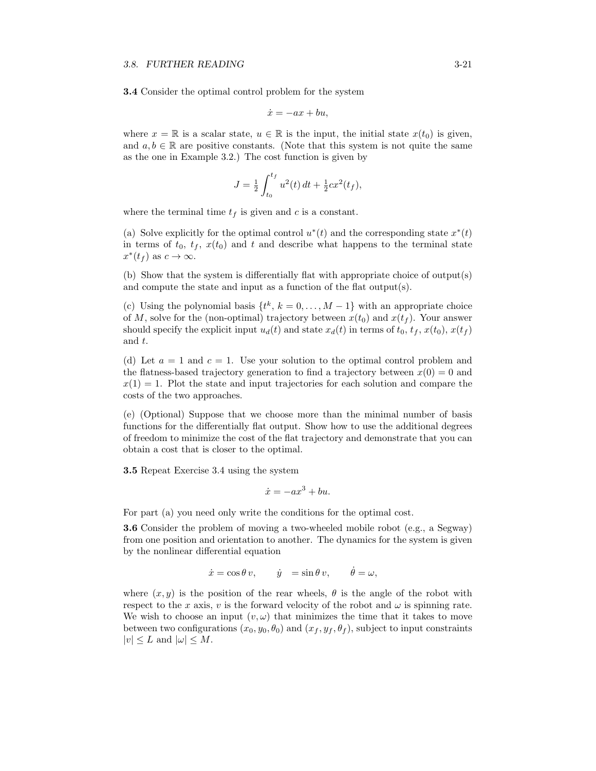<span id="page-21-0"></span>3.4 Consider the optimal control problem for the system

$$
\dot{x} = -ax + bu,
$$

where  $x = \mathbb{R}$  is a scalar state,  $u \in \mathbb{R}$  is the input, the initial state  $x(t_0)$  is given, and  $a, b \in \mathbb{R}$  are positive constants. (Note that this system is not quite the same as the one in Example [3.2.](#page-8-1)) The cost function is given by

$$
J = \frac{1}{2} \int_{t_0}^{t_f} u^2(t) dt + \frac{1}{2} c x^2(t_f),
$$

where the terminal time  $t_f$  is given and  $c$  is a constant.

(a) Solve explicitly for the optimal control  $u^*(t)$  and the corresponding state  $x^*(t)$ in terms of  $t_0$ ,  $t_f$ ,  $x(t_0)$  and  $t$  and describe what happens to the terminal state  $x^*(t_f)$  as  $c \to \infty$ .

(b) Show that the system is differentially flat with appropriate choice of output(s) and compute the state and input as a function of the flat output(s).

(c) Using the polynomial basis  $\{t^k, k = 0, \ldots, M-1\}$  with an appropriate choice of *M*, solve for the (non-optimal) trajectory between  $x(t_0)$  and  $x(t_f)$ . Your answer should specify the explicit input  $u_d(t)$  and state  $x_d(t)$  in terms of  $t_0, t_f, x(t_0), x(t_f)$ and *t*.

(d) Let  $a = 1$  and  $c = 1$ . Use your solution to the optimal control problem and the flatness-based trajectory generation to find a trajectory between  $x(0) = 0$  and  $x(1) = 1$ . Plot the state and input trajectories for each solution and compare the costs of the two approaches.

(e) (Optional) Suppose that we choose more than the minimal number of basis functions for the differentially flat output. Show how to use the additional degrees of freedom to minimize the cost of the flat trajectory and demonstrate that you can obtain a cost that is closer to the optimal.

3.5 Repeat Exercise [3.4](#page-21-0) using the system

$$
\dot{x} = -ax^3 + bu.
$$

For part (a) you need only write the conditions for the optimal cost.

3.6 Consider the problem of moving a two-wheeled mobile robot (e.g., a Segway) from one position and orientation to another. The dynamics for the system is given by the nonlinear differential equation

$$
\dot{x} = \cos \theta \, v, \qquad \dot{y} = \sin \theta \, v, \qquad \dot{\theta} = \omega,
$$

where  $(x, y)$  is the position of the rear wheels,  $\theta$  is the angle of the robot with respect to the *x* axis, *v* is the forward velocity of the robot and  $\omega$  is spinning rate. We wish to choose an input  $(v, \omega)$  that minimizes the time that it takes to move between two configurations  $(x_0, y_0, \theta_0)$  and  $(x_f, y_f, \theta_f)$ , subject to input constraints  $|v| \leq L$  and  $|\omega| \leq M$ .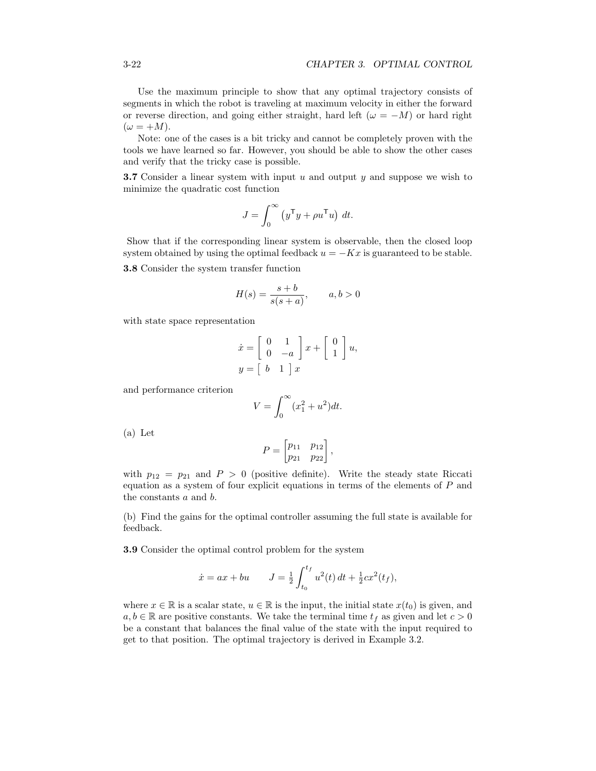Use the maximum principle to show that any optimal trajectory consists of segments in which the robot is traveling at maximum velocity in either the forward or reverse direction, and going either straight, hard left ( $\omega = -M$ ) or hard right  $(\omega = +M).$ 

Note: one of the cases is a bit tricky and cannot be completely proven with the tools we have learned so far. However, you should be able to show the other cases and verify that the tricky case is possible.

3.7 Consider a linear system with input *u* and output *y* and suppose we wish to minimize the quadratic cost function

$$
J = \int_0^\infty (y^\mathsf{T} y + \rho u^\mathsf{T} u) \, dt.
$$

Show that if the corresponding linear system is observable, then the closed loop system obtained by using the optimal feedback  $u = -Kx$  is guaranteed to be stable. 3.8 Consider the system transfer function

$$
H(s) = \frac{s+b}{s(s+a)}, \qquad a, b > 0
$$

with state space representation

$$
\begin{aligned}\n\dot{x} &= \begin{bmatrix} 0 & 1 \\ 0 & -a \end{bmatrix} x + \begin{bmatrix} 0 \\ 1 \end{bmatrix} u, \\
y &= \begin{bmatrix} b & 1 \end{bmatrix} x\n\end{aligned}
$$

and performance criterion

$$
V = \int_0^\infty (x_1^2 + u^2) dt.
$$

(a) Let

$$
P = \begin{bmatrix} p_{11} & p_{12} \\ p_{21} & p_{22} \end{bmatrix},
$$

with  $p_{12} = p_{21}$  and  $P > 0$  (positive definite). Write the steady state Riccati equation as a system of four explicit equations in terms of the elements of *P* and the constants *a* and *b*.

(b) Find the gains for the optimal controller assuming the full state is available for feedback.

3.9 Consider the optimal control problem for the system

$$
\dot{x} = ax + bu
$$
  $J = \frac{1}{2} \int_{t_0}^{t_f} u^2(t) dt + \frac{1}{2} c x^2(t_f),$ 

where  $x \in \mathbb{R}$  is a scalar state,  $u \in \mathbb{R}$  is the input, the initial state  $x(t_0)$  is given, and  $a, b \in \mathbb{R}$  are positive constants. We take the terminal time  $t_f$  as given and let  $c > 0$ be a constant that balances the final value of the state with the input required to get to that position. The optimal trajectory is derived in Example [3.2.](#page-8-1)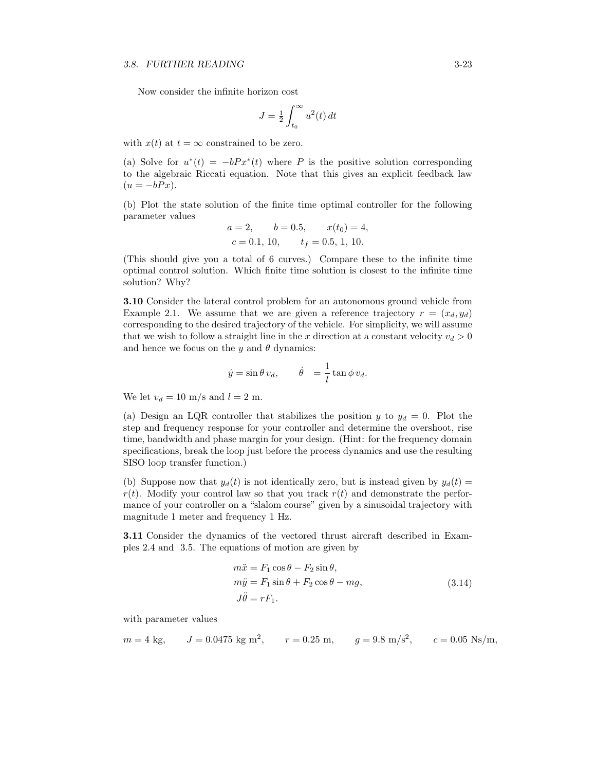Now consider the infinite horizon cost

$$
J = \frac{1}{2} \int_{t_0}^{\infty} u^2(t) dt
$$

with  $x(t)$  at  $t = \infty$  constrained to be zero.

(a) Solve for  $u^*(t) = -bPx^*(t)$  where P is the positive solution corresponding to the algebraic Riccati equation. Note that this gives an explicit feedback law  $(u = -bPx).$ 

(b) Plot the state solution of the finite time optimal controller for the following parameter values

$$
a = 2,
$$
  $b = 0.5,$   $x(t_0) = 4,$   
\n $c = 0.1, 10,$   $t_f = 0.5, 1, 10.$ 

(This should give you a total of 6 curves.) Compare these to the infinite time optimal control solution. Which finite time solution is closest to the infinite time solution? Why?

3.10 Consider the lateral control problem for an autonomous ground vehicle from Example [2.1.](#page-0-11) We assume that we are given a reference trajectory  $r = (x_d, y_d)$ corresponding to the desired trajectory of the vehicle. For simplicity, we will assume that we wish to follow a straight line in the *x* direction at a constant velocity  $v_d > 0$ and hence we focus on the  $y$  and  $\theta$  dynamics:

$$
\dot{y} = \sin \theta \, v_d, \qquad \dot{\theta} = \frac{1}{l} \tan \phi \, v_d.
$$

We let  $v_d = 10$  m/s and  $l = 2$  m.

(a) Design an LQR controller that stabilizes the position *y* to  $y_d = 0$ . Plot the step and frequency response for your controller and determine the overshoot, rise time, bandwidth and phase margin for your design. (Hint: for the frequency domain specifications, break the loop just before the process dynamics and use the resulting SISO loop transfer function.)

(b) Suppose now that  $y_d(t)$  is not identically zero, but is instead given by  $y_d(t)$  =  $r(t)$ . Modify your control law so that you track  $r(t)$  and demonstrate the performance of your controller on a "slalom course" given by a sinusoidal trajectory with magnitude 1 meter and frequency 1 Hz.

3.11 Consider the dynamics of the vectored thrust aircraft described in Examples [2.4](#page-0-12) and [3.5.](#page-15-0) The equations of motion are given by

$$
m\ddot{x} = F_1 \cos \theta - F_2 \sin \theta,
$$
  
\n
$$
m\ddot{y} = F_1 \sin \theta + F_2 \cos \theta - mg,
$$
  
\n
$$
J\ddot{\theta} = rF_1.
$$
\n(3.14)

with parameter values

$$
m = 4
$$
 kg,  $J = 0.0475$  kg m<sup>2</sup>,  $r = 0.25$  m,  $g = 9.8$  m/s<sup>2</sup>,  $c = 0.05$  Ns/m,